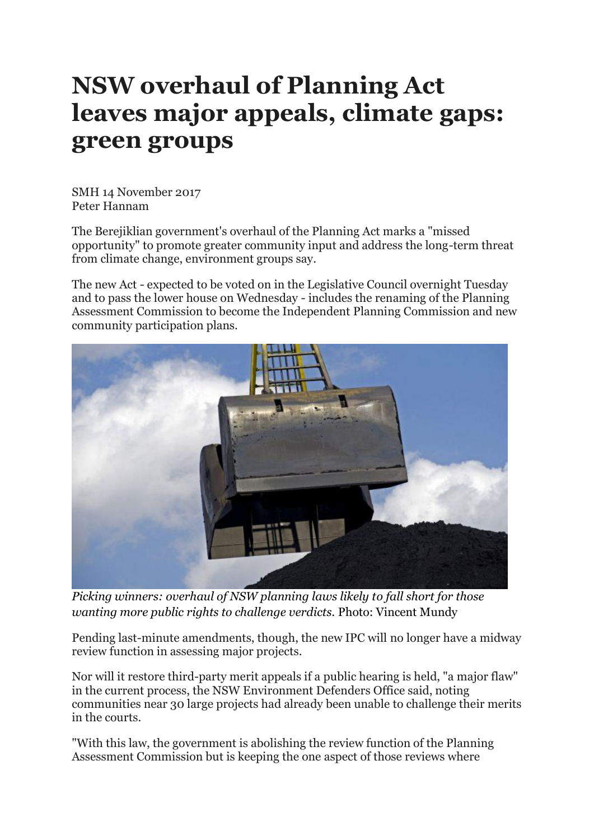## **NSW overhaul of Planning Act leaves major appeals, climate gaps: green groups**

SMH 14 November 2017 Peter Hannam

The Berejiklian government's overhaul of the Planning Act marks a "missed opportunity" to promote greater community input and address the long-term threat from climate change, environment groups say.

The new Act - expected to be voted on in the Legislative Council overnight Tuesday and to pass the lower house on Wednesday - includes the renaming of the Planning Assessment Commission to become the Independent Planning Commission and new community participation plans.



*Picking winners: overhaul of NSW planning laws likely to fall short for those wanting more public rights to challenge verdicts.* Photo: Vincent Mundy

Pending last-minute amendments, though, the new IPC will no longer have a midway review function in assessing major projects.

Nor will it restore third-party merit appeals if a public hearing is held, "a major flaw" in the current process, the NSW Environment Defenders Office said, noting communities near 30 large projects had already been unable to challenge their merits in the courts.

"With this law, the government is abolishing the review function of the Planning Assessment Commission but is keeping the one aspect of those reviews where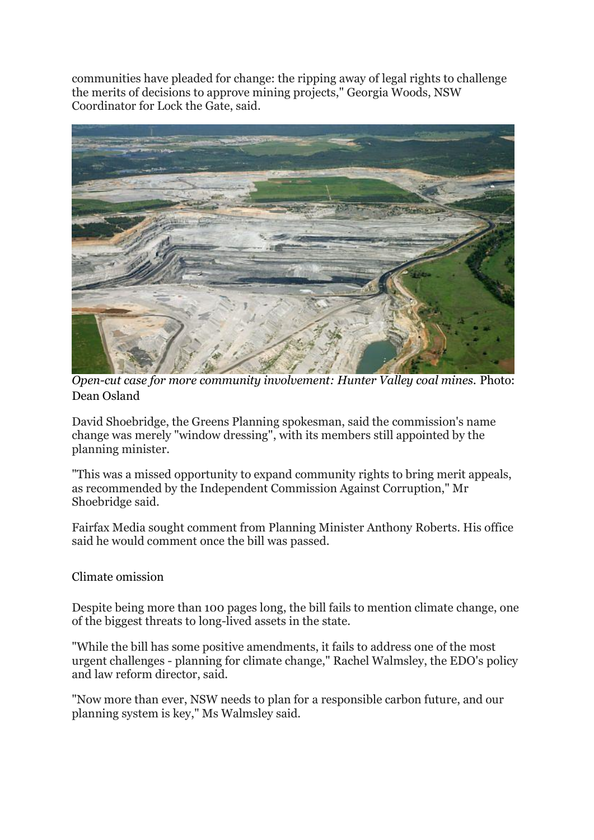communities have pleaded for change: the ripping away of legal rights to challenge the merits of decisions to approve mining projects," Georgia Woods, NSW Coordinator for Lock the Gate, said.



*Open-cut case for more community involvement: Hunter Valley coal mines.* Photo: Dean Osland

David Shoebridge, the Greens Planning spokesman, said the commission's name change was merely "window dressing", with its members still appointed by the planning minister.

"This was a missed opportunity to expand community rights to bring merit appeals, as recommended by the Independent Commission Against Corruption," Mr Shoebridge said.

Fairfax Media sought comment from Planning Minister Anthony Roberts. His office said he would comment once the bill was passed.

Climate omission

Despite being more than 100 pages long, the bill fails to mention climate change, one of the biggest threats to long-lived assets in the state.

"While the bill has some positive amendments, it fails to address one of the most urgent challenges - planning for climate change," Rachel Walmsley, the EDO's policy and law reform director, said.

"Now more than ever, NSW needs to plan for a responsible carbon future, and our planning system is key," Ms Walmsley said.